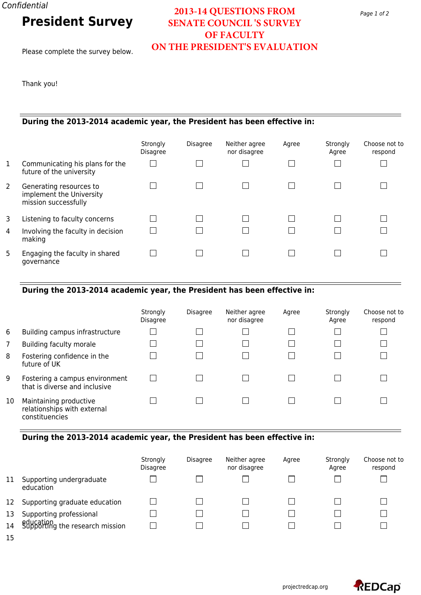# **President Survey**

Please complete the survey below.

## **2013-14 QUESTIONS FROM SENATE COUNCIL 'S SURVEY OF FACULTY ON THE PRESIDENT'S EVALUATION**

Thank you!

#### **During the 2013-2014 academic year, the President has been effective in:**

|   |                                                                             | Strongly        | <b>Disagree</b> | Neither agree | Agree | Strongly | Choose not to |
|---|-----------------------------------------------------------------------------|-----------------|-----------------|---------------|-------|----------|---------------|
|   |                                                                             | <b>Disagree</b> |                 | nor disagree  |       | Agree    | respond       |
| 1 | Communicating his plans for the<br>future of the university                 |                 |                 |               |       |          |               |
| 2 | Generating resources to<br>implement the University<br>mission successfully |                 |                 |               |       |          |               |
| 3 | Listening to faculty concerns                                               |                 |                 |               |       |          |               |
| 4 | Involving the faculty in decision<br>making                                 |                 |                 |               |       |          |               |
| 5 | Engaging the faculty in shared<br>governance                                |                 |                 |               |       |          |               |

### **During the 2013-2014 academic year, the President has been effective in:**

|    |                                                                         | Strongly<br>Disagree | <b>Disagree</b> | Neither agree<br>nor disagree | Agree | Strongly<br>Agree | Choose not to<br>respond |
|----|-------------------------------------------------------------------------|----------------------|-----------------|-------------------------------|-------|-------------------|--------------------------|
| 6  | Building campus infrastructure                                          |                      |                 |                               |       |                   |                          |
| 7  | Building faculty morale                                                 |                      |                 |                               |       |                   |                          |
| 8  | Fostering confidence in the<br>future of UK                             |                      |                 |                               |       |                   |                          |
| 9  | Fostering a campus environment<br>that is diverse and inclusive         |                      |                 |                               |       |                   |                          |
| 10 | Maintaining productive<br>relationships with external<br>constituencies |                      |                 |                               |       |                   |                          |

#### **During the 2013-2014 academic year, the President has been effective in:**

|    |                                              | Strongly<br><b>Disagree</b> | <b>Disagree</b> | Neither agree<br>nor disagree | Agree | Strongly<br>Agree | Choose not to<br>respond |
|----|----------------------------------------------|-----------------------------|-----------------|-------------------------------|-------|-------------------|--------------------------|
| 11 | Supporting undergraduate<br>education        |                             |                 |                               |       |                   |                          |
| 12 | Supporting graduate education                |                             |                 |                               |       |                   |                          |
| 13 | Supporting professional                      |                             |                 |                               |       |                   |                          |
| 14 | education<br>Supporting the research mission |                             |                 |                               |       |                   |                          |

15